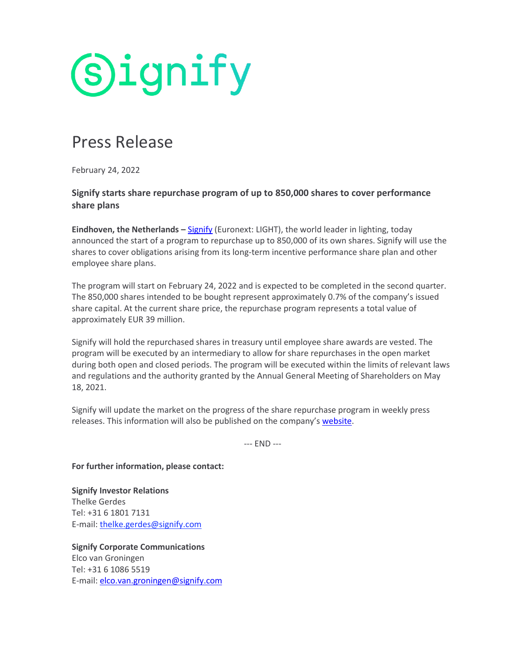

## Press Release

February 24, 2022

## **Signify starts share repurchase program of up to 850,000 shares to cover performance share plans**

**Eindhoven, the Netherlands –** [Signify](https://www.signify.com/) (Euronext: LIGHT), the world leader in lighting, today announced the start of a program to repurchase up to 850,000 of its own shares. Signify will use the shares to cover obligations arising from its long-term incentive performance share plan and other employee share plans.

The program will start on February 24, 2022 and is expected to be completed in the second quarter. The 850,000 shares intended to be bought represent approximately 0.7% of the company's issued share capital. At the current share price, the repurchase program represents a total value of approximately EUR 39 million.

Signify will hold the repurchased shares in treasury until employee share awards are vested. The program will be executed by an intermediary to allow for share repurchases in the open market during both open and closed periods. The program will be executed within the limits of relevant laws and regulations and the authority granted by the Annual General Meeting of Shareholders on May 18, 2021.

Signify will update the market on the progress of the share repurchase program in weekly press releases. This information will also be published on the company's [website.](https://www.signify.com/global/our-company/investors/shareholder-info/share-repurchases)

--- END ---

**For further information, please contact:**

**Signify Investor Relations** Thelke Gerdes Tel: +31 6 1801 7131 E-mail: [thelke.gerdes@signify.com](mailto:thelke.gerdes@signify.com)

**Signify Corporate Communications** Elco van Groningen Tel: +31 6 1086 5519 E-mail: [elco.van.groningen@signify.com](mailto:elco.van.groningen@signify.com)